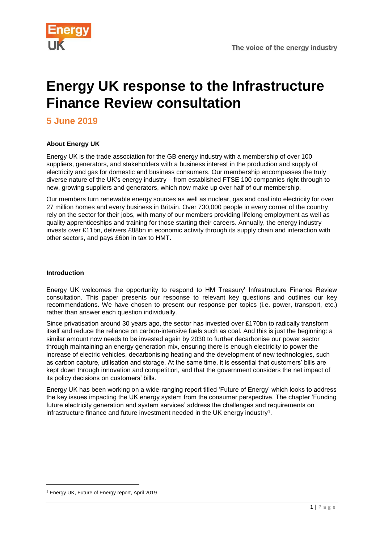

## **Energy UK response to the Infrastructure Finance Review consultation**

**5 June 2019**

#### **About Energy UK**

Energy UK is the trade association for the GB energy industry with a membership of over 100 suppliers, generators, and stakeholders with a business interest in the production and supply of electricity and gas for domestic and business consumers. Our membership encompasses the truly diverse nature of the UK's energy industry – from established FTSE 100 companies right through to new, growing suppliers and generators, which now make up over half of our membership.

Our members turn renewable energy sources as well as nuclear, gas and coal into electricity for over 27 million homes and every business in Britain. Over 730,000 people in every corner of the country rely on the sector for their jobs, with many of our members providing lifelong employment as well as quality apprenticeships and training for those starting their careers. Annually, the energy industry invests over £11bn, delivers £88bn in economic activity through its supply chain and interaction with other sectors, and pays £6bn in tax to HMT.

#### <span id="page-0-0"></span>**Introduction**

Energy UK welcomes the opportunity to respond to HM Treasury' Infrastructure Finance Review consultation. This paper presents our response to relevant key questions and outlines our key recommendations. We have chosen to present our response per topics (i.e. power, transport, etc.) rather than answer each question individually.

Since privatisation around 30 years ago, the sector has invested over £170bn to radically transform itself and reduce the reliance on carbon-intensive fuels such as coal. And this is just the beginning: a similar amount now needs to be invested again by 2030 to further decarbonise our power sector through maintaining an energy generation mix, ensuring there is enough electricity to power the increase of electric vehicles, decarbonising heating and the development of new technologies, such as carbon capture, utilisation and storage. At the same time, it is essential that customers' bills are kept down through innovation and competition, and that the government considers the net impact of its policy decisions on customers' bills.

Energy UK has been working on a wide-ranging report titled 'Future of Energy' which looks to address the key issues impacting the UK energy system from the consumer perspective. The chapter 'Funding future electricity generation and system services' address the challenges and requirements on infrastructure finance and future investment needed in the UK energy industry<sup>1</sup>.

1

<sup>1</sup> Energy UK, Future of Energy report, April 2019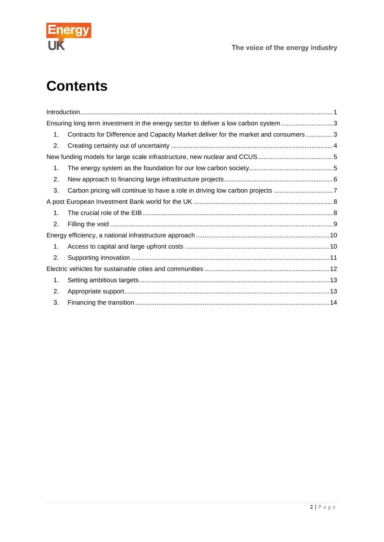

# **Contents**

<span id="page-1-0"></span>

| Ensuring long term investment in the energy sector to deliver a low carbon system 3 |                                                                                      |  |
|-------------------------------------------------------------------------------------|--------------------------------------------------------------------------------------|--|
| 1.                                                                                  | Contracts for Difference and Capacity Market deliver for the market and consumers  3 |  |
| 2.                                                                                  |                                                                                      |  |
|                                                                                     |                                                                                      |  |
| 1.                                                                                  |                                                                                      |  |
| 2.                                                                                  |                                                                                      |  |
| 3.                                                                                  |                                                                                      |  |
|                                                                                     |                                                                                      |  |
| 1.                                                                                  |                                                                                      |  |
| 2.                                                                                  |                                                                                      |  |
|                                                                                     |                                                                                      |  |
| $\mathbf 1$ .                                                                       |                                                                                      |  |
| 2.                                                                                  |                                                                                      |  |
|                                                                                     |                                                                                      |  |
| 1.                                                                                  |                                                                                      |  |
| 2.                                                                                  |                                                                                      |  |
| 3.                                                                                  |                                                                                      |  |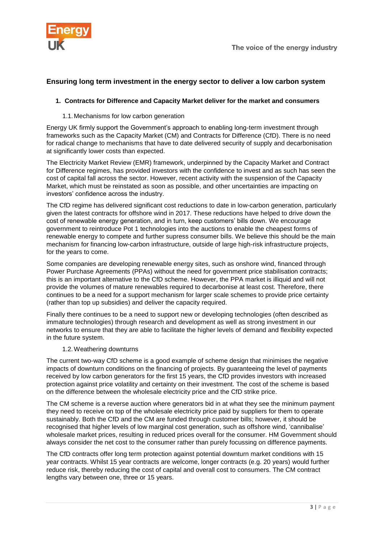

## **Ensuring long term investment in the energy sector to deliver a low carbon system**

#### <span id="page-2-0"></span>**1. Contracts for Difference and Capacity Market deliver for the market and consumers**

#### 1.1.Mechanisms for low carbon generation

Energy UK firmly support the Government's approach to enabling long-term investment through frameworks such as the Capacity Market (CM) and Contracts for Difference (CfD). There is no need for radical change to mechanisms that have to date delivered security of supply and decarbonisation at significantly lower costs than expected.

The Electricity Market Review (EMR) framework, underpinned by the Capacity Market and Contract for Difference regimes, has provided investors with the confidence to invest and as such has seen the cost of capital fall across the sector. However, recent activity with the suspension of the Capacity Market, which must be reinstated as soon as possible, and other uncertainties are impacting on investors' confidence across the industry.

The CfD regime has delivered significant cost reductions to date in low-carbon generation, particularly given the latest contracts for offshore wind in 2017. These reductions have helped to drive down the cost of renewable energy generation, and in turn, keep customers' bills down. We encourage government to reintroduce Pot 1 technologies into the auctions to enable the cheapest forms of renewable energy to compete and further supress consumer bills. We believe this should be the main mechanism for financing low-carbon infrastructure, outside of large high-risk infrastructure projects, for the years to come.

Some companies are developing renewable energy sites, such as onshore wind, financed through Power Purchase Agreements (PPAs) without the need for government price stabilisation contracts; this is an important alternative to the CfD scheme. However, the PPA market is illiquid and will not provide the volumes of mature renewables required to decarbonise at least cost. Therefore, there continues to be a need for a support mechanism for larger scale schemes to provide price certainty (rather than top up subsidies) and deliver the capacity required.

Finally there continues to be a need to support new or developing technologies (often described as immature technologies) through research and development as well as strong investment in our networks to ensure that they are able to facilitate the higher levels of demand and flexibility expected in the future system.

#### 1.2.Weathering downturns

The current two-way CfD scheme is a good example of scheme design that minimises the negative impacts of downturn conditions on the financing of projects. By guaranteeing the level of payments received by low carbon generators for the first 15 years, the CfD provides investors with increased protection against price volatility and certainty on their investment. The cost of the scheme is based on the difference between the wholesale electricity price and the CfD strike price.

The CM scheme is a reverse auction where generators bid in at what they see the minimum payment they need to receive on top of the wholesale electricity price paid by suppliers for them to operate sustainably. Both the CfD and the CM are funded through customer bills; however, it should be recognised that higher levels of low marginal cost generation, such as offshore wind, 'cannibalise' wholesale market prices, resulting in reduced prices overall for the consumer. HM Government should always consider the net cost to the consumer rather than purely focussing on difference payments.

The CfD contracts offer long term protection against potential downturn market conditions with 15 year contracts. Whilst 15 year contracts are welcome, longer contracts (e.g. 20 years) would further reduce risk, thereby reducing the cost of capital and overall cost to consumers. The CM contract lengths vary between one, three or 15 years.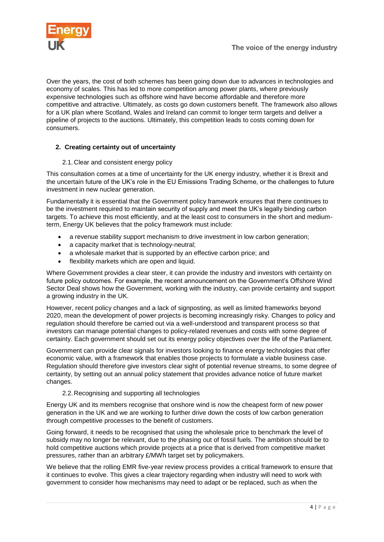

Over the years, the cost of both schemes has been going down due to advances in technologies and economy of scales. This has led to more competition among power plants, where previously expensive technologies such as offshore wind have become affordable and therefore more competitive and attractive. Ultimately, as costs go down customers benefit. The framework also allows for a UK plan where Scotland, Wales and Ireland can commit to longer term targets and deliver a pipeline of projects to the auctions. Ultimately, this competition leads to costs coming down for consumers.

#### <span id="page-3-0"></span>**2. Creating certainty out of uncertainty**

#### 2.1.Clear and consistent energy policy

This consultation comes at a time of uncertainty for the UK energy industry, whether it is Brexit and the uncertain future of the UK's role in the EU Emissions Trading Scheme, or the challenges to future investment in new nuclear generation.

Fundamentally it is essential that the Government policy framework ensures that there continues to be the investment required to maintain security of supply and meet the UK's legally binding carbon targets. To achieve this most efficiently, and at the least cost to consumers in the short and mediumterm, Energy UK believes that the policy framework must include:

- a revenue stability support mechanism to drive investment in low carbon generation;
- a capacity market that is technology-neutral;
- a wholesale market that is supported by an effective carbon price; and
- flexibility markets which are open and liquid.

Where Government provides a clear steer, it can provide the industry and investors with certainty on future policy outcomes. For example, the recent announcement on the Government's Offshore Wind Sector Deal shows how the Government, working with the industry, can provide certainty and support a growing industry in the UK.

However, recent policy changes and a lack of signposting, as well as limited frameworks beyond 2020, mean the development of power projects is becoming increasingly risky. Changes to policy and regulation should therefore be carried out via a well-understood and transparent process so that investors can manage potential changes to policy-related revenues and costs with some degree of certainty. Each government should set out its energy policy objectives over the life of the Parliament.

Government can provide clear signals for investors looking to finance energy technologies that offer economic value, with a framework that enables those projects to formulate a viable business case. Regulation should therefore give investors clear sight of potential revenue streams, to some degree of certainty, by setting out an annual policy statement that provides advance notice of future market changes.

#### 2.2.Recognising and supporting all technologies

Energy UK and its members recognise that onshore wind is now the cheapest form of new power generation in the UK and we are working to further drive down the costs of low carbon generation through competitive processes to the benefit of customers.

Going forward, it needs to be recognised that using the wholesale price to benchmark the level of subsidy may no longer be relevant, due to the phasing out of fossil fuels. The ambition should be to hold competitive auctions which provide projects at a price that is derived from competitive market pressures, rather than an arbitrary £/MWh target set by policymakers.

We believe that the rolling EMR five-year review process provides a critical framework to ensure that it continues to evolve. This gives a clear trajectory regarding when industry will need to work with government to consider how mechanisms may need to adapt or be replaced, such as when the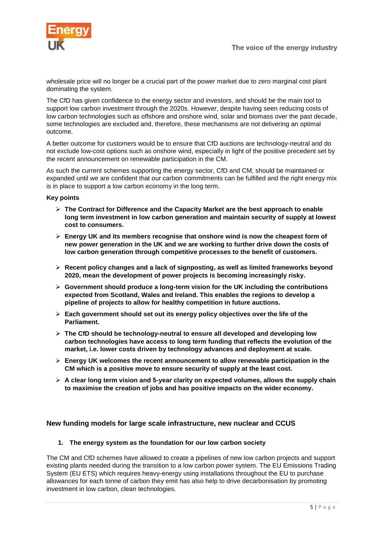

wholesale price will no longer be a crucial part of the power market due to zero marginal cost plant dominating the system.

The CfD has given confidence to the energy sector and investors, and should be the main tool to support low carbon investment through the 2020s. However, despite having seen reducing costs of low carbon technologies such as offshore and onshore wind, solar and biomass over the past decade, some technologies are excluded and, therefore, these mechanisms are not delivering an optimal outcome.

A better outcome for customers would be to ensure that CfD auctions are technology-neutral and do not exclude low-cost options such as onshore wind, especially in light of the positive precedent set by the recent announcement on renewable participation in the CM.

As such the current schemes supporting the energy sector, CfD and CM, should be maintained or expanded until we are confident that our carbon commitments can be fulfilled and the right energy mix is in place to support a low carbon economy in the long term.

#### **Key points**

- **The Contract for Difference and the Capacity Market are the best approach to enable long term investment in low carbon generation and maintain security of supply at lowest cost to consumers.**
- **Energy UK and its members recognise that onshore wind is now the cheapest form of new power generation in the UK and we are working to further drive down the costs of low carbon generation through competitive processes to the benefit of customers.**
- **Recent policy changes and a lack of signposting, as well as limited frameworks beyond 2020, mean the development of power projects is becoming increasingly risky.**
- **Government should produce a long-term vision for the UK including the contributions expected from Scotland, Wales and Ireland. This enables the regions to develop a pipeline of projects to allow for healthy competition in future auctions.**
- **Each government should set out its energy policy objectives over the life of the Parliament.**
- **The CfD should be technology-neutral to ensure all developed and developing low carbon technologies have access to long term funding that reflects the evolution of the market, i.e. lower costs driven by technology advances and deployment at scale.**
- **Energy UK welcomes the recent announcement to allow renewable participation in the CM which is a positive move to ensure security of supply at the least cost.**
- **A clear long term vision and 5-year clarity on expected volumes, allows the supply chain to maximise the creation of jobs and has positive impacts on the wider economy.**

#### <span id="page-4-0"></span>**New funding models for large scale infrastructure, new nuclear and CCUS**

#### <span id="page-4-1"></span>**1. The energy system as the foundation for our low carbon society**

The CM and CfD schemes have allowed to create a pipelines of new low carbon projects and support existing plants needed during the transition to a low carbon power system. The EU Emissions Trading System (EU ETS) which requires heavy-energy using installations throughout the EU to purchase allowances for each tonne of carbon they emit has also help to drive decarbonisation by promoting investment in low carbon, clean technologies.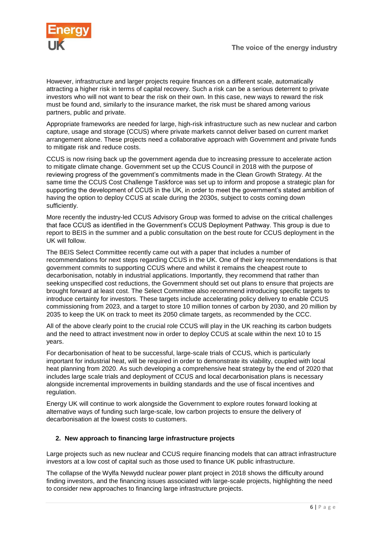However, infrastructure and larger projects require finances on a different scale, automatically attracting a higher risk in terms of capital recovery. Such a risk can be a serious deterrent to private investors who will not want to bear the risk on their own. In this case, new ways to reward the risk must be found and, similarly to the insurance market, the risk must be shared among various partners, public and private.

Appropriate frameworks are needed for large, high-risk infrastructure such as new nuclear and carbon capture, usage and storage (CCUS) where private markets cannot deliver based on current market arrangement alone. These projects need a collaborative approach with Government and private funds to mitigate risk and reduce costs.

CCUS is now rising back up the government agenda due to increasing pressure to accelerate action to mitigate climate change. Government set up the CCUS Council in 2018 with the purpose of reviewing progress of the government's commitments made in the Clean Growth Strategy. At the same time the CCUS Cost Challenge Taskforce was set up to inform and propose a strategic plan for supporting the development of CCUS in the UK, in order to meet the government's stated ambition of having the option to deploy CCUS at scale during the 2030s, subject to costs coming down sufficiently.

More recently the industry-led CCUS Advisory Group was formed to advise on the critical challenges that face CCUS as identified in the Government's CCUS Deployment Pathway. This group is due to report to BEIS in the summer and a public consultation on the best route for CCUS deployment in the UK will follow.

The BEIS Select Committee recently came out with a paper that includes a number of recommendations for next steps regarding CCUS in the UK. One of their key recommendations is that government commits to supporting CCUS where and whilst it remains the cheapest route to decarbonisation, notably in industrial applications. Importantly, they recommend that rather than seeking unspecified cost reductions, the Government should set out plans to ensure that projects are brought forward at least cost. The Select Committee also recommend introducing specific targets to introduce certainty for investors. These targets include accelerating policy delivery to enable CCUS commissioning from 2023, and a target to store 10 million tonnes of carbon by 2030, and 20 million by 2035 to keep the UK on track to meet its 2050 climate targets, as recommended by the CCC.

All of the above clearly point to the crucial role CCUS will play in the UK reaching its carbon budgets and the need to attract investment now in order to deploy CCUS at scale within the next 10 to 15 years.

For decarbonisation of heat to be successful, large-scale trials of CCUS, which is particularly important for industrial heat, will be required in order to demonstrate its viability, coupled with local heat planning from 2020. As such developing a comprehensive heat strategy by the end of 2020 that includes large scale trials and deployment of CCUS and local decarbonisation plans is necessary alongside incremental improvements in building standards and the use of fiscal incentives and regulation.

Energy UK will continue to work alongside the Government to explore routes forward looking at alternative ways of funding such large-scale, low carbon projects to ensure the delivery of decarbonisation at the lowest costs to customers.

#### <span id="page-5-0"></span>**2. New approach to financing large infrastructure projects**

Large projects such as new nuclear and CCUS require financing models that can attract infrastructure investors at a low cost of capital such as those used to finance UK public infrastructure.

The collapse of the Wylfa Newydd nuclear power plant project in 2018 shows the difficulty around finding investors, and the financing issues associated with large-scale projects, highlighting the need to consider new approaches to financing large infrastructure projects.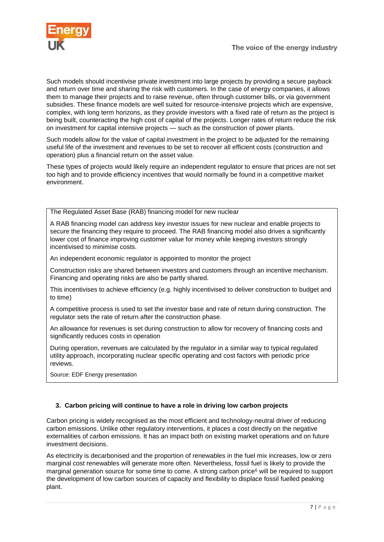

Such models should incentivise private investment into large projects by providing a secure payback and return over time and sharing the risk with customers. In the case of energy companies, it allows them to manage their projects and to raise revenue, often through customer bills, or via government subsidies. These finance models are well suited for resource-intensive projects which are expensive, complex, with long term horizons, as they provide investors with a fixed rate of return as the project is being built, counteracting the high cost of capital of the projects. Longer rates of return reduce the risk on investment for capital intensive projects — such as the construction of power plants.

Such models allow for the value of capital investment in the project to be adjusted for the remaining useful life of the investment and revenues to be set to recover all efficient costs (construction and operation) plus a financial return on the asset value.

These types of projects would likely require an independent regulator to ensure that prices are not set too high and to provide efficiency incentives that would normally be found in a competitive market environment.

The Regulated Asset Base (RAB) financing model for new nuclear

A RAB financing model can address key investor issues for new nuclear and enable projects to secure the financing they require to proceed. The RAB financing model also drives a significantly lower cost of finance improving customer value for money while keeping investors strongly incentivised to minimise costs.

An independent economic regulator is appointed to monitor the project

Construction risks are shared between investors and customers through an incentive mechanism. Financing and operating risks are also be partly shared.

This incentivises to achieve efficiency (e.g. highly incentivised to deliver construction to budget and to time)

A competitive process is used to set the investor base and rate of return during construction. The regulator sets the rate of return after the construction phase.

An allowance for revenues is set during construction to allow for recovery of financing costs and significantly reduces costs in operation

During operation, revenues are calculated by the regulator in a similar way to typical regulated utility approach, incorporating nuclear specific operating and cost factors with periodic price reviews.

Source: EDF Energy presentation

#### <span id="page-6-0"></span>**3. Carbon pricing will continue to have a role in driving low carbon projects**

Carbon pricing is widely recognised as the most efficient and technology-neutral driver of reducing carbon emissions. Unlike other regulatory interventions, it places a cost directly on the negative externalities of carbon emissions. It has an impact both on existing market operations and on future investment decisions.

As electricity is decarbonised and the proportion of renewables in the fuel mix increases, low or zero marginal cost renewables will generate more often. Nevertheless, fossil fuel is likely to provide the marginal generation source for some time to come. A strong carbon price<sup>6</sup> will be required to support the development of low carbon sources of capacity and flexibility to displace fossil fuelled peaking plant.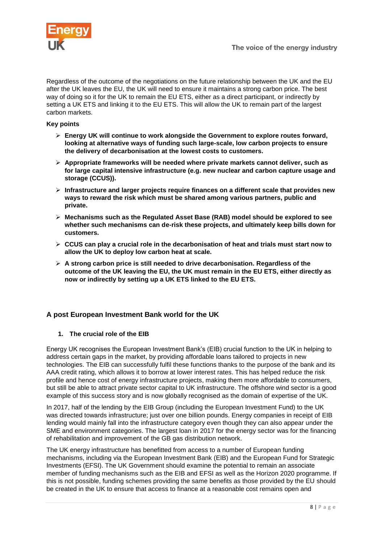

Regardless of the outcome of the negotiations on the future relationship between the UK and the EU after the UK leaves the EU, the UK will need to ensure it maintains a strong carbon price. The best way of doing so it for the UK to remain the EU ETS, either as a direct participant, or indirectly by setting a UK ETS and linking it to the EU ETS. This will allow the UK to remain part of the largest carbon markets.

#### **Key points**

- **Energy UK will continue to work alongside the Government to explore routes forward, looking at alternative ways of funding such large-scale, low carbon projects to ensure the delivery of decarbonisation at the lowest costs to customers.**
- **Appropriate frameworks will be needed where private markets cannot deliver, such as for large capital intensive infrastructure (e.g. new nuclear and carbon capture usage and storage (CCUS)).**
- **Infrastructure and larger projects require finances on a different scale that provides new ways to reward the risk which must be shared among various partners, public and private.**
- **Mechanisms such as the Regulated Asset Base (RAB) model should be explored to see whether such mechanisms can de-risk these projects, and ultimately keep bills down for customers.**
- **CCUS can play a crucial role in the decarbonisation of heat and trials must start now to allow the UK to deploy low carbon heat at scale.**
- **A strong carbon price is still needed to drive decarbonisation. Regardless of the outcome of the UK leaving the EU, the UK must remain in the EU ETS, either directly as now or indirectly by setting up a UK ETS linked to the EU ETS.**

#### <span id="page-7-0"></span>**A post European Investment Bank world for the UK**

#### <span id="page-7-1"></span>**1. The crucial role of the EIB**

Energy UK recognises the European Investment Bank's (EIB) crucial function to the UK in helping to address certain gaps in the market, by providing affordable loans tailored to projects in new technologies. The EIB can successfully fulfil these functions thanks to the purpose of the bank and its AAA credit rating, which allows it to borrow at lower interest rates. This has helped reduce the risk profile and hence cost of energy infrastructure projects, making them more affordable to consumers, but still be able to attract private sector capital to UK infrastructure. The offshore wind sector is a good example of this success story and is now globally recognised as the domain of expertise of the UK.

In 2017, half of the lending by the EIB Group (including the European Investment Fund) to the UK was directed towards infrastructure; just over one billion pounds. Energy companies in receipt of EIB lending would mainly fall into the infrastructure category even though they can also appear under the SME and environment categories. The largest loan in 2017 for the energy sector was for the financing of rehabilitation and improvement of the GB gas distribution network.

The UK energy infrastructure has benefitted from access to a number of European funding mechanisms, including via the European Investment Bank (EIB) and the European Fund for Strategic Investments (EFSI). The UK Government should examine the potential to remain an associate member of funding mechanisms such as the EIB and EFSI as well as the Horizon 2020 programme. If this is not possible, funding schemes providing the same benefits as those provided by the EU should be created in the UK to ensure that access to finance at a reasonable cost remains open and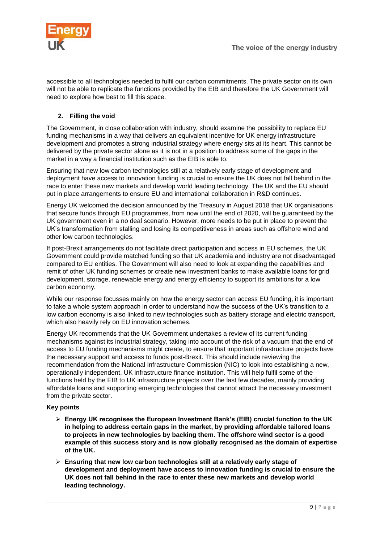

accessible to all technologies needed to fulfil our carbon commitments. The private sector on its own will not be able to replicate the functions provided by the EIB and therefore the UK Government will need to explore how best to fill this space.

### <span id="page-8-0"></span>**2. Filling the void**

The Government, in close collaboration with industry, should examine the possibility to replace EU funding mechanisms in a way that delivers an equivalent incentive for UK energy infrastructure development and promotes a strong industrial strategy where energy sits at its heart. This cannot be delivered by the private sector alone as it is not in a position to address some of the gaps in the market in a way a financial institution such as the EIB is able to.

Ensuring that new low carbon technologies still at a relatively early stage of development and deployment have access to innovation funding is crucial to ensure the UK does not fall behind in the race to enter these new markets and develop world leading technology. The UK and the EU should put in place arrangements to ensure EU and international collaboration in R&D continues.

Energy UK welcomed the decision announced by the Treasury in August 2018 that UK organisations that secure funds through EU programmes, from now until the end of 2020, will be guaranteed by the UK government even in a no deal scenario. However, more needs to be put in place to prevent the UK's transformation from stalling and losing its competitiveness in areas such as offshore wind and other low carbon technologies.

If post-Brexit arrangements do not facilitate direct participation and access in EU schemes, the UK Government could provide matched funding so that UK academia and industry are not disadvantaged compared to EU entities. The Government will also need to look at expanding the capabilities and remit of other UK funding schemes or create new investment banks to make available loans for grid development, storage, renewable energy and energy efficiency to support its ambitions for a low carbon economy.

While our response focusses mainly on how the energy sector can access EU funding, it is important to take a whole system approach in order to understand how the success of the UK's transition to a low carbon economy is also linked to new technologies such as battery storage and electric transport, which also heavily rely on EU innovation schemes.

Energy UK recommends that the UK Government undertakes a review of its current funding mechanisms against its industrial strategy, taking into account of the risk of a vacuum that the end of access to EU funding mechanisms might create, to ensure that important infrastructure projects have the necessary support and access to funds post-Brexit. This should include reviewing the recommendation from the National Infrastructure Commission (NIC) to look into establishing a new, operationally independent, UK infrastructure finance institution. This will help fulfil some of the functions held by the EIB to UK infrastructure projects over the last few decades, mainly providing affordable loans and supporting emerging technologies that cannot attract the necessary investment from the private sector.

#### **Key points**

- **Energy UK recognises the European Investment Bank's (EIB) crucial function to the UK in helping to address certain gaps in the market, by providing affordable tailored loans to projects in new technologies by backing them. The offshore wind sector is a good example of this success story and is now globally recognised as the domain of expertise of the UK.**
- **Ensuring that new low carbon technologies still at a relatively early stage of development and deployment have access to innovation funding is crucial to ensure the UK does not fall behind in the race to enter these new markets and develop world leading technology.**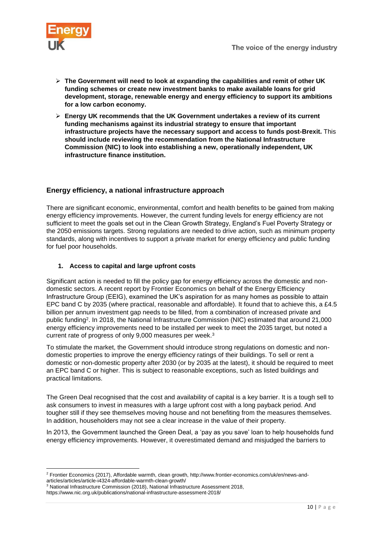

- **The Government will need to look at expanding the capabilities and remit of other UK funding schemes or create new investment banks to make available loans for grid development, storage, renewable energy and energy efficiency to support its ambitions for a low carbon economy.**
- **Energy UK recommends that the UK Government undertakes a review of its current funding mechanisms against its industrial strategy to ensure that important infrastructure projects have the necessary support and access to funds post-Brexit.** This **should include reviewing the recommendation from the National Infrastructure Commission (NIC) to look into establishing a new, operationally independent, UK infrastructure finance institution.**

## <span id="page-9-0"></span>**Energy efficiency, a national infrastructure approach**

There are significant economic, environmental, comfort and health benefits to be gained from making energy efficiency improvements. However, the current funding levels for energy efficiency are not sufficient to meet the goals set out in the Clean Growth Strategy, England's Fuel Poverty Strategy or the 2050 emissions targets. Strong regulations are needed to drive action, such as minimum property standards, along with incentives to support a private market for energy efficiency and public funding for fuel poor households.

#### <span id="page-9-1"></span>**1. Access to capital and large upfront costs**

Significant action is needed to fill the policy gap for energy efficiency across the domestic and nondomestic sectors. A recent report by Frontier Economics on behalf of the Energy Efficiency Infrastructure Group (EEIG), examined the UK's aspiration for as many homes as possible to attain EPC band C by 2035 (where practical, reasonable and affordable). It found that to achieve this, a £4.5 billion per annum investment gap needs to be filled, from a combination of increased private and public funding<sup>2</sup>. In 2018, the National Infrastructure Commission (NIC) estimated that around 21,000 energy efficiency improvements need to be installed per week to meet the 2035 target, but noted a current rate of progress of only 9,000 measures per week.<sup>3</sup>

To stimulate the market, the Government should introduce strong regulations on domestic and nondomestic properties to improve the energy efficiency ratings of their buildings. To sell or rent a domestic or non-domestic property after 2030 (or by 2035 at the latest), it should be required to meet an EPC band C or higher. This is subject to reasonable exceptions, such as listed buildings and practical limitations.

The Green Deal recognised that the cost and availability of capital is a key barrier. It is a tough sell to ask consumers to invest in measures with a large upfront cost with a long payback period. And tougher still if they see themselves moving house and not benefiting from the measures themselves. In addition, householders may not see a clear increase in the value of their property.

In 2013, the Government launched the Green Deal, a 'pay as you save' loan to help households fund energy efficiency improvements. However, it overestimated demand and misjudged the barriers to

**<sup>.</sup>** <sup>2</sup> Frontier Economics (2017), Affordable warmth, clean growth, [http://www.frontier-economics.com/uk/en/news-and](http://www.frontier-economics.com/uk/en/news-and-articles/articles/article-i4324-affordable-warmth-clean-growth/)[articles/articles/article-i4324-affordable-warmth-clean-growth/](http://www.frontier-economics.com/uk/en/news-and-articles/articles/article-i4324-affordable-warmth-clean-growth/)

<sup>3</sup> National Infrastructure Commission (2018), National Infrastructure Assessment 2018,

<https://www.nic.org.uk/publications/national-infrastructure-assessment-2018/>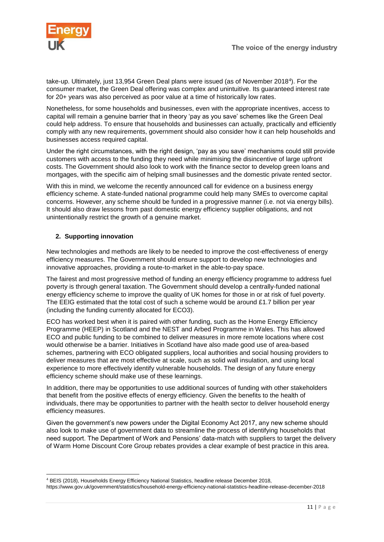

take-up. Ultimately, just 13,954 Green Deal plans were issued (as of November 2018<sup>4</sup> ). For the consumer market, the Green Deal offering was complex and unintuitive. Its guaranteed interest rate for 20+ years was also perceived as poor value at a time of historically low rates.

Nonetheless, for some households and businesses, even with the appropriate incentives, access to capital will remain a genuine barrier that in theory 'pay as you save' schemes like the Green Deal could help address. To ensure that households and businesses can actually, practically and efficiently comply with any new requirements, government should also consider how it can help households and businesses access required capital.

Under the right circumstances, with the right design, 'pay as you save' mechanisms could still provide customers with access to the funding they need while minimising the disincentive of large upfront costs. The Government should also look to work with the finance sector to develop green loans and mortgages, with the specific aim of helping small businesses and the domestic private rented sector.

With this in mind, we welcome the recently announced call for evidence on a business energy efficiency scheme. A state-funded national programme could help many SMEs to overcome capital concerns. However, any scheme should be funded in a progressive manner (i.e. not via energy bills). It should also draw lessons from past domestic energy efficiency supplier obligations, and not unintentionally restrict the growth of a genuine market.

#### <span id="page-10-0"></span>**2. Supporting innovation**

New technologies and methods are likely to be needed to improve the cost-effectiveness of energy efficiency measures. The Government should ensure support to develop new technologies and innovative approaches, providing a route-to-market in the able-to-pay space.

The fairest and most progressive method of funding an energy efficiency programme to address fuel poverty is through general taxation. The Government should develop a centrally-funded national energy efficiency scheme to improve the quality of UK homes for those in or at risk of fuel poverty. The EEIG estimated that the total cost of such a scheme would be around  $£1.7$  billion per year (including the funding currently allocated for ECO3).

ECO has worked best when it is paired with other funding, such as the Home Energy Efficiency Programme (HEEP) in Scotland and the NEST and Arbed Programme in Wales. This has allowed ECO and public funding to be combined to deliver measures in more remote locations where cost would otherwise be a barrier. Initiatives in Scotland have also made good use of area-based schemes, partnering with ECO obligated suppliers, local authorities and social housing providers to deliver measures that are most effective at scale, such as solid wall insulation, and using local experience to more effectively identify vulnerable households. The design of any future energy efficiency scheme should make use of these learnings.

In addition, there may be opportunities to use additional sources of funding with other stakeholders that benefit from the positive effects of energy efficiency. Given the benefits to the health of individuals, there may be opportunities to partner with the health sector to deliver household energy efficiency measures.

Given the government's new powers under the Digital Economy Act 2017, any new scheme should also look to make use of government data to streamline the process of identifying households that need support. The Department of Work and Pensions' data-match with suppliers to target the delivery of Warm Home Discount Core Group rebates provides a clear example of best practice in this area.

**<sup>.</sup>** <sup>4</sup> BEIS (2018), Households Energy Efficiency National Statistics, headline release December 2018,

<https://www.gov.uk/government/statistics/household-energy-efficiency-national-statistics-headline-release-december-2018>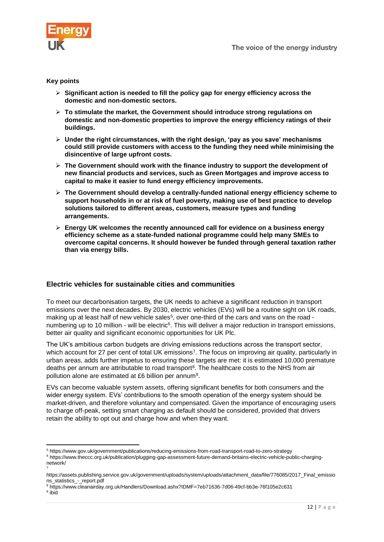

#### **Key points**

- **Significant action is needed to fill the policy gap for energy efficiency across the domestic and non-domestic sectors.**
- **To stimulate the market, the Government should introduce strong regulations on domestic and non-domestic properties to improve the energy efficiency ratings of their buildings.**
- **Under the right circumstances, with the right design, 'pay as you save' mechanisms could still provide customers with access to the funding they need while minimising the disincentive of large upfront costs.**
- **The Government should work with the finance industry to support the development of new financial products and services, such as Green Mortgages and improve access to capital to make it easier to fund energy efficiency improvements.**
- **The Government should develop a centrally-funded national energy efficiency scheme to support households in or at risk of fuel poverty, making use of best practice to develop solutions tailored to different areas, customers, measure types and funding arrangements.**
- **Energy UK welcomes the recently announced call for evidence on a business energy efficiency scheme as a state-funded national programme could help many SMEs to overcome capital concerns. It should however be funded through general taxation rather than via energy bills.**

#### <span id="page-11-0"></span>**Electric vehicles for sustainable cities and communities**

To meet our decarbonisation targets, the UK needs to achieve a significant reduction in transport emissions over the next decades. By 2030, electric vehicles (EVs) will be a routine sight on UK roads, making up at least half of new vehicle sales<sup>5</sup>, over one-third of the cars and vans on the road numbering up to 10 million - will be electric<sup>6</sup>. This will deliver a major reduction in transport emissions, better air quality and significant economic opportunities for UK Plc.

The UK's ambitious carbon budgets are driving emissions reductions across the transport sector, which account for 27 per cent of total UK emissions<sup>7</sup>. The focus on improving air quality, particularly in urban areas, adds further impetus to ensuring these targets are met: it is estimated 10,000 premature deaths per annum are attributable to road transport<sup>8</sup>. The healthcare costs to the NHS from air pollution alone are estimated at £6 billion per annum<sup>9</sup>.

EVs can become valuable system assets, offering significant benefits for both consumers and the wider energy system. EVs' contributions to the smooth operation of the energy system should be market-driven, and therefore voluntary and compensated. Given the importance of encouraging users to charge off-peak, setting smart charging as default should be considered, provided that drivers retain the ability to opt out and charge how and when they want.

<sup>1</sup> <sup>5</sup> <https://www.gov.uk/government/publications/reducing-emissions-from-road-transport-road-to-zero-strategy>

<sup>6</sup> [https://www.theccc.org.uk/publication/plugging-gap-assessment-future-demand-britains-electric-vehicle-public-charging](https://www.theccc.org.uk/publication/plugging-gap-assessment-future-demand-britains-electric-vehicle-public-charging-network/)[network/](https://www.theccc.org.uk/publication/plugging-gap-assessment-future-demand-britains-electric-vehicle-public-charging-network/) 7

[https://assets.publishing.service.gov.uk/government/uploads/system/uploads/attachment\\_data/file/776085/2017\\_Final\\_emissio](https://assets.publishing.service.gov.uk/government/uploads/system/uploads/attachment_data/file/776085/2017_Final_emissions_statistics_-_report.pdf) [ns\\_statistics\\_-\\_report.pdf](https://assets.publishing.service.gov.uk/government/uploads/system/uploads/attachment_data/file/776085/2017_Final_emissions_statistics_-_report.pdf)

<sup>8</sup> <https://www.cleanairday.org.uk/Handlers/Download.ashx?IDMF=7eb71636-7d06-49cf-bb3e-76f105e2c631>

<sup>&</sup>lt;sup>9</sup> ibid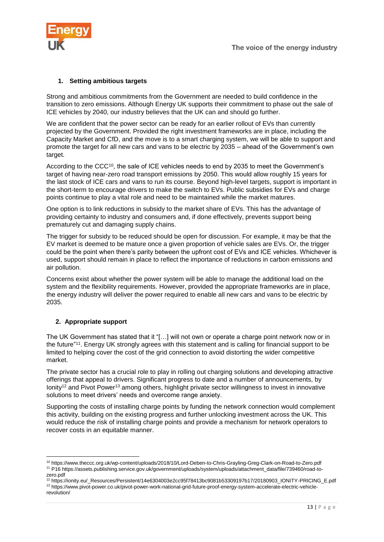

#### <span id="page-12-0"></span>**1. Setting ambitious targets**

Strong and ambitious commitments from the Government are needed to build confidence in the transition to zero emissions. Although Energy UK supports their commitment to phase out the sale of ICE vehicles by 2040, our industry believes that the UK can and should go further.

We are confident that the power sector can be ready for an earlier rollout of EVs than currently projected by the Government. Provided the right investment frameworks are in place, including the Capacity Market and CfD, and the move is to a smart charging system, we will be able to support and promote the target for all new cars and vans to be electric by 2035 – ahead of the Government's own target.

According to the CCC<sup>10</sup>, the sale of ICE vehicles needs to end by 2035 to meet the Government's target of having near-zero road transport emissions by 2050. This would allow roughly 15 years for the last stock of ICE cars and vans to run its course. Beyond high-level targets, support is important in the short-term to encourage drivers to make the switch to EVs. Public subsidies for EVs and charge points continue to play a vital role and need to be maintained while the market matures.

One option is to link reductions in subsidy to the market share of EVs. This has the advantage of providing certainty to industry and consumers and, if done effectively, prevents support being prematurely cut and damaging supply chains.

The trigger for subsidy to be reduced should be open for discussion. For example, it may be that the EV market is deemed to be mature once a given proportion of vehicle sales are EVs. Or, the trigger could be the point when there's parity between the upfront cost of EVs and ICE vehicles. Whichever is used, support should remain in place to reflect the importance of reductions in carbon emissions and air pollution.

Concerns exist about whether the power system will be able to manage the additional load on the system and the flexibility requirements. However, provided the appropriate frameworks are in place, the energy industry will deliver the power required to enable all new cars and vans to be electric by 2035.

#### <span id="page-12-1"></span>**2. Appropriate support**

The UK Government has stated that it "[…] will not own or operate a charge point network now or in the future" 11 . Energy UK strongly agrees with this statement and is calling for financial support to be limited to helping cover the cost of the grid connection to avoid distorting the wider competitive market.

The private sector has a crucial role to play in rolling out charging solutions and developing attractive offerings that appeal to drivers. Significant progress to date and a number of announcements, by Ionity<sup>12</sup> and Pivot Power<sup>13</sup> among others, highlight private sector willingness to invest in innovative solutions to meet drivers' needs and overcome range anxiety.

Supporting the costs of installing charge points by funding the network connection would complement this activity, building on the existing progress and further unlocking investment across the UK. This would reduce the risk of installing charge points and provide a mechanism for network operators to recover costs in an equitable manner.

<sup>1</sup> <sup>10</sup> <https://www.theccc.org.uk/wp-content/uploads/2018/10/Lord-Deben-to-Chris-Grayling-Greg-Clark-on-Road-to-Zero.pdf> <sup>11</sup> P1[6 https://assets.publishing.service.gov.uk/government/uploads/system/uploads/attachment\\_data/file/739460/road-to](https://assets.publishing.service.gov.uk/government/uploads/system/uploads/attachment_data/file/739460/road-to-zero.pdf)[zero.pdf](https://assets.publishing.service.gov.uk/government/uploads/system/uploads/attachment_data/file/739460/road-to-zero.pdf)

<sup>12</sup> [https://ionity.eu/\\_Resources/Persistent/14e6304003e2cc95f78413bc9081b53309197b17/20180903\\_IONITY-PRICING\\_E.pdf](https://ionity.eu/_Resources/Persistent/14e6304003e2cc95f78413bc9081b53309197b17/20180903_IONITY-PRICING_E.pdf) <sup>13</sup> [https://www.pivot-power.co.uk/pivot-power-work-national-grid-future-proof-energy-system-accelerate-electric-vehicle](https://www.pivot-power.co.uk/pivot-power-work-national-grid-future-proof-energy-system-accelerate-electric-vehicle-revolution/)[revolution/](https://www.pivot-power.co.uk/pivot-power-work-national-grid-future-proof-energy-system-accelerate-electric-vehicle-revolution/)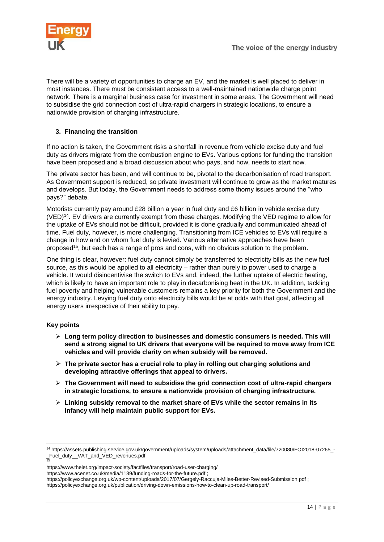

There will be a variety of opportunities to charge an EV, and the market is well placed to deliver in most instances. There must be consistent access to a well-maintained nationwide charge point network. There is a marginal business case for investment in some areas. The Government will need to subsidise the grid connection cost of ultra-rapid chargers in strategic locations, to ensure a nationwide provision of charging infrastructure.

#### <span id="page-13-0"></span>**3. Financing the transition**

If no action is taken, the Government risks a shortfall in revenue from vehicle excise duty and fuel duty as drivers migrate from the combustion engine to EVs. Various options for funding the transition have been proposed and a broad discussion about who pays, and how, needs to start now.

The private sector has been, and will continue to be, pivotal to the decarbonisation of road transport. As Government support is reduced, so private investment will continue to grow as the market matures and develops. But today, the Government needs to address some thorny issues around the "who pays?" debate.

Motorists currently pay around £28 billion a year in fuel duty and £6 billion in vehicle excise duty (VED)<sup>14</sup>. EV drivers are currently exempt from these charges. Modifying the VED regime to allow for the uptake of EVs should not be difficult, provided it is done gradually and communicated ahead of time. Fuel duty, however, is more challenging. Transitioning from ICE vehicles to EVs will require a change in how and on whom fuel duty is levied. Various alternative approaches have been proposed<sup>15</sup>, but each has a range of pros and cons, with no obvious solution to the problem.

One thing is clear, however: fuel duty cannot simply be transferred to electricity bills as the new fuel source, as this would be applied to all electricity – rather than purely to power used to charge a vehicle. It would disincentivise the switch to EVs and, indeed, the further uptake of electric heating, which is likely to have an important role to play in decarbonising heat in the UK. In addition, tackling fuel poverty and helping vulnerable customers remains a key priority for both the Government and the energy industry. Levying fuel duty onto electricity bills would be at odds with that goal, affecting all energy users irrespective of their ability to pay.

#### **Key points**

**.** 

- **Long term policy direction to businesses and domestic consumers is needed. This will send a strong signal to UK drivers that everyone will be required to move away from ICE vehicles and will provide clarity on when subsidy will be removed.**
- **The private sector has a crucial role to play in rolling out charging solutions and developing attractive offerings that appeal to drivers.**
- **The Government will need to subsidise the grid connection cost of ultra-rapid chargers in strategic locations, to ensure a nationwide provision of charging infrastructure.**
- **Linking subsidy removal to the market share of EVs while the sector remains in its infancy will help maintain public support for EVs.**

<https://www.acenet.co.uk/media/1139/funding-roads-for-the-future.pdf> ;

<sup>14</sup> [https://assets.publishing.service.gov.uk/government/uploads/system/uploads/attachment\\_data/file/720080/FOI2018-07265\\_-](https://assets.publishing.service.gov.uk/government/uploads/system/uploads/attachment_data/file/720080/FOI2018-07265_-_Fuel_duty__VAT_and_VED_revenues.pdf) [\\_Fuel\\_duty\\_\\_VAT\\_and\\_VED\\_revenues.pdf](https://assets.publishing.service.gov.uk/government/uploads/system/uploads/attachment_data/file/720080/FOI2018-07265_-_Fuel_duty__VAT_and_VED_revenues.pdf) 15

<https://www.theiet.org/impact-society/factfiles/transport/road-user-charging/>

<https://policyexchange.org.uk/wp-content/uploads/2017/07/Gergely-Raccuja-Miles-Better-Revised-Submission.pdf> ;

<https://policyexchange.org.uk/publication/driving-down-emissions-how-to-clean-up-road-transport/>